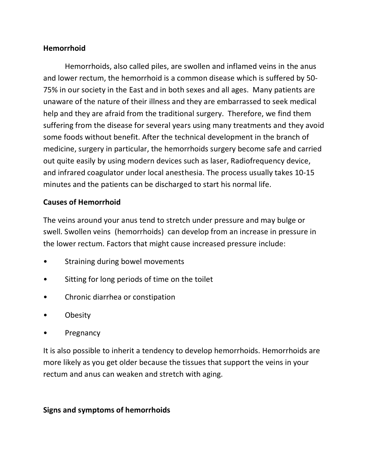### **Hemorrhoid**

Hemorrhoids, also called piles, are swollen and inflamed veins in the anus and lower rectum, the hemorrhoid is a common disease which is suffered by 50- 75% in our society in the East and in both sexes and all ages. Many patients are unaware of the nature of their illness and they are embarrassed to seek medical help and they are afraid from the traditional surgery. Therefore, we find them suffering from the disease for several years using many treatments and they avoid some foods without benefit. After the technical development in the branch of medicine, surgery in particular, the hemorrhoids surgery become safe and carried out quite easily by using modern devices such as laser, Radiofrequency device, and infrared coagulator under local anesthesia. The process usually takes 10-15 minutes and the patients can be discharged to start his normal life.

## **Causes of Hemorrhoid**

The veins around your anus tend to stretch under pressure and may bulge or swell. Swollen veins (hemorrhoids) can develop from an increase in pressure in the lower rectum. Factors that might cause increased pressure include:

- Straining during bowel movements
- Sitting for long periods of time on the toilet
- Chronic diarrhea or constipation
- Obesity
- **Pregnancy**

It is also possible to inherit a tendency to develop hemorrhoids. Hemorrhoids are more likely as you get older because the tissues that support the veins in your rectum and anus can weaken and stretch with aging.

### **Signs and symptoms of hemorrhoids**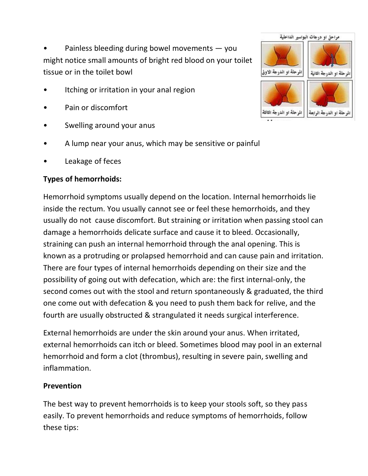Painless bleeding during bowel movements  $-$  you might notice small amounts of bright red blood on your toilet tissue or in the toilet bowl

- Itching or irritation in your anal region
- Pain or discomfort
- Swelling around your anus
- A lump near your anus, which may be sensitive or painful
- Leakage of feces

## **Types of hemorrhoids:**

Hemorrhoid symptoms usually depend on the location. Internal hemorrhoids lie inside the rectum. You usually cannot see or feel these hemorrhoids, and they usually do not cause discomfort. But straining or irritation when passing stool can damage a hemorrhoids delicate surface and cause it to bleed. Occasionally, straining can push an internal hemorrhoid through the anal opening. This is known as a protruding or prolapsed hemorrhoid and can cause pain and irritation. There are four types of internal hemorrhoids depending on their size and the possibility of going out with defecation, which are: the first internal-only, the second comes out with the stool and return spontaneously & graduated, the third one come out with defecation & you need to push them back for relive, and the fourth are usually obstructed & strangulated it needs surgical interference.

External hemorrhoids are under the skin around your anus. When irritated, external hemorrhoids can itch or bleed. Sometimes blood may pool in an external hemorrhoid and form a clot (thrombus), resulting in severe pain, swelling and inflammation.

### **Prevention**

The best way to prevent hemorrhoids is to keep your stools soft, so they pass easily. To prevent hemorrhoids and reduce symptoms of hemorrhoids, follow these tips:

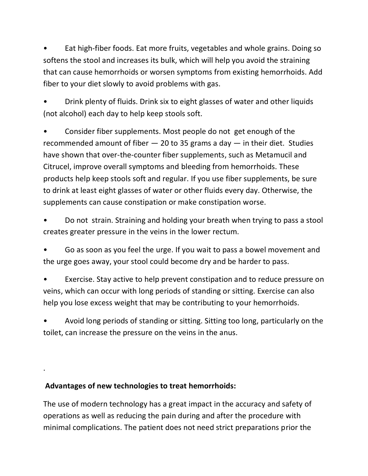• Eat high-fiber foods. Eat more fruits, vegetables and whole grains. Doing so softens the stool and increases its bulk, which will help you avoid the straining that can cause hemorrhoids or worsen symptoms from existing hemorrhoids. Add fiber to your diet slowly to avoid problems with gas.

• Drink plenty of fluids. Drink six to eight glasses of water and other liquids (not alcohol) each day to help keep stools soft.

• Consider fiber supplements. Most people do not get enough of the recommended amount of fiber  $-20$  to 35 grams a day  $-$  in their diet. Studies have shown that over-the-counter fiber supplements, such as Metamucil and Citrucel, improve overall symptoms and bleeding from hemorrhoids. These products help keep stools soft and regular. If you use fiber supplements, be sure to drink at least eight glasses of water or other fluids every day. Otherwise, the supplements can cause constipation or make constipation worse.

• Do not strain. Straining and holding your breath when trying to pass a stool creates greater pressure in the veins in the lower rectum.

• Go as soon as you feel the urge. If you wait to pass a bowel movement and the urge goes away, your stool could become dry and be harder to pass.

• Exercise. Stay active to help prevent constipation and to reduce pressure on veins, which can occur with long periods of standing or sitting. Exercise can also help you lose excess weight that may be contributing to your hemorrhoids.

• Avoid long periods of standing or sitting. Sitting too long, particularly on the toilet, can increase the pressure on the veins in the anus.

# **Advantages of new technologies to treat hemorrhoids:**

.

The use of modern technology has a great impact in the accuracy and safety of operations as well as reducing the pain during and after the procedure with minimal complications. The patient does not need strict preparations prior the